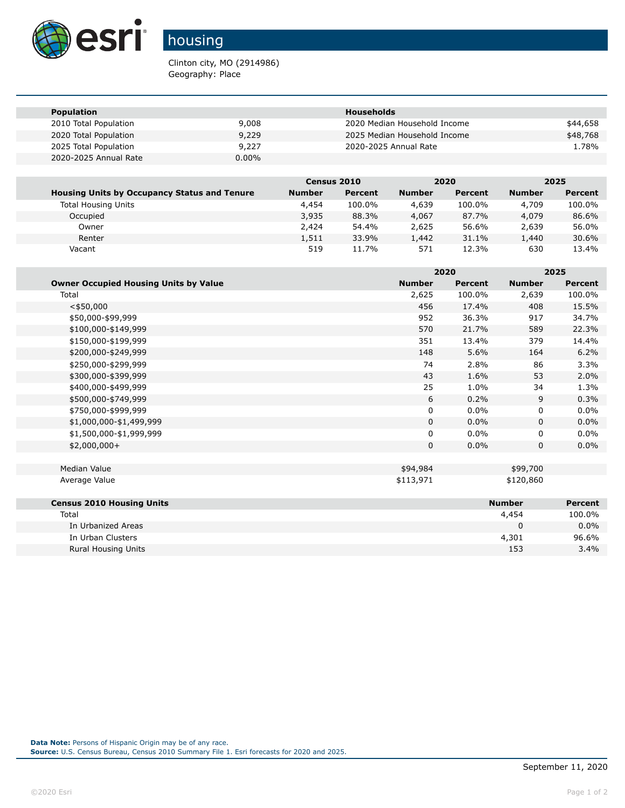

## housing

Clinton city, MO (2914986) Geography: Place

| <b>Population</b>     |          | Households                   |          |
|-----------------------|----------|------------------------------|----------|
| 2010 Total Population | 9,008    | 2020 Median Household Income | \$44,658 |
| 2020 Total Population | 9,229    | 2025 Median Household Income | \$48,768 |
| 2025 Total Population | 9,227    | 2020-2025 Annual Rate        | 1.78%    |
| 2020-2025 Annual Rate | $0.00\%$ |                              |          |

|                                                     | Census 2010   |         |               | 2020    |               | 2025    |
|-----------------------------------------------------|---------------|---------|---------------|---------|---------------|---------|
| <b>Housing Units by Occupancy Status and Tenure</b> | <b>Number</b> | Percent | <b>Number</b> | Percent | <b>Number</b> | Percent |
| <b>Total Housing Units</b>                          | 4,454         | 100.0%  | 4,639         | 100.0%  | 4,709         | 100.0%  |
| Occupied                                            | 3,935         | 88.3%   | 4,067         | 87.7%   | 4,079         | 86.6%   |
| Owner                                               | 2,424         | 54.4%   | 2,625         | 56.6%   | 2,639         | 56.0%   |
| Renter                                              | 1,511         | 33.9%   | 1,442         | 31.1%   | 1,440         | 30.6%   |
| Vacant                                              | 519           | 11.7%   | 571           | 12.3%   | 630           | 13.4%   |

|                                              |               | 2020           |               | 2025           |
|----------------------------------------------|---------------|----------------|---------------|----------------|
| <b>Owner Occupied Housing Units by Value</b> | <b>Number</b> | <b>Percent</b> | <b>Number</b> | <b>Percent</b> |
| Total                                        | 2,625         | 100.0%         | 2,639         | 100.0%         |
| $<$ \$50,000                                 | 456           | 17.4%          | 408           | 15.5%          |
| \$50,000-\$99,999                            | 952           | 36.3%          | 917           | 34.7%          |
| \$100,000-\$149,999                          | 570           | 21.7%          | 589           | 22.3%          |
| \$150,000-\$199,999                          | 351           | 13.4%          | 379           | 14.4%          |
| \$200,000-\$249,999                          | 148           | 5.6%           | 164           | 6.2%           |
| \$250,000-\$299,999                          | 74            | 2.8%           | 86            | 3.3%           |
| \$300,000-\$399,999                          | 43            | 1.6%           | 53            | 2.0%           |
| \$400,000-\$499,999                          | 25            | 1.0%           | 34            | 1.3%           |
| \$500,000-\$749,999                          | 6             | 0.2%           | 9             | 0.3%           |
| \$750,000-\$999,999                          | 0             | 0.0%           | 0             | $0.0\%$        |
| \$1,000,000-\$1,499,999                      | $\Omega$      | 0.0%           | $\mathbf 0$   | $0.0\%$        |
| \$1,500,000-\$1,999,999                      | 0             | 0.0%           | 0             | $0.0\%$        |
| $$2,000,000+$                                | 0             | 0.0%           | $\mathbf 0$   | $0.0\%$        |
|                                              |               |                |               |                |
| Median Value                                 | \$94,984      |                | \$99,700      |                |
| Average Value                                | \$113,971     |                | \$120,860     |                |
|                                              |               |                |               |                |
| <b>Census 2010 Housing Units</b>             |               |                | <b>Number</b> | <b>Percent</b> |
| Total                                        |               |                | 4,454         | 100.0%         |
| In Urbanized Areas                           |               |                | 0             | $0.0\%$        |
| In Urban Clusters                            |               |                | 4,301         | 96.6%          |
| <b>Rural Housing Units</b>                   |               |                | 153           | 3.4%           |